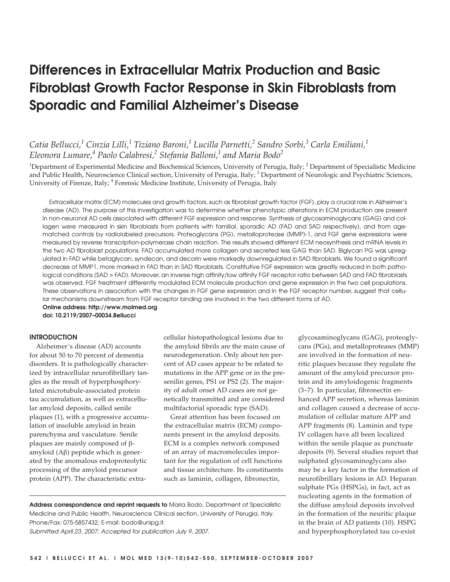# Differences in Extracellular Matrix Production and Basic Fibroblast Growth Factor Response in Skin Fibroblasts from Sporadic and Familial Alzheimer's Disease

## *Catia Bellucci,1 Cinzia Lilli,1 Tiziano Baroni,1 Lucilla Parnetti,2 Sandro Sorbi,<sup>3</sup> Carla Emiliani,1 Eleonora Lumare,4 Paolo Calabresi,2 Stefania Balloni,1 and Maria Bodo2*

<sup>1</sup>Department of Experimental Medicine and Biochemical Sciences, University of Perugia, Italy; <sup>2</sup> Department of Specialistic Medicine and Public Health, Neuroscience Clinical section, University of Perugia, Italy;<sup>3</sup> Department of Neurologic and Psychiatric Sciences, University of Firenze, Italy; <sup>4</sup> Forensic Medicine Institute, University of Perugia, Italy

Extracellular matrix (ECM) molecules and growth factors, such as fibroblast growth factor (FGF), play a crucial role in Alzheimer's disease (AD). The purpose of this investigation was to determine whether phenotypic alterations in ECM production are present in non-neuronal AD cells associated with different FGF expression and response. Synthesis of glycosaminoglycans (GAG) and collagen were measured in skin fibroblasts from patients with familial, sporadic AD (FAD and SAD respectively), and from agematched controls by radiolabeled precursors. Proteoglycans (PG), metalloprotease (MMP)-1, and FGF gene expressions were measured by reverse transcription-polymerase chain reaction. The results showed different ECM neosynthesis and mRNA levels in the two AD fibroblast populations. FAD accumulated more collagen and secreted less GAG than SAD. Biglycan PG was upregulated in FAD while betaglycan, syndecan, and decorin were markedly downregulated in SAD fibroblasts. We found a significant decrease of MMP1, more marked in FAD than in SAD fibroblasts. Constitutive FGF expression was greatly reduced in both pathological conditions (SAD > FAD). Moreover, an inverse high affinity/low affinity FGF receptor ratio between SAD and FAD fibroblasts was observed. FGF treatment differently modulated ECM molecule production and gene expression in the two cell populations. These observations in association with the changes in FGF gene expression and in the FGF receptor number, suggest that cellular mechanisms downstream from FGF receptor binding are involved in the two different forms of AD.

Online address: http://www.molmed.org doi: 10.2119/2007–00034.Bellucci

#### **INTRODUCTION**

Alzheimer's disease (AD) accounts for about 50 to 70 percent of dementia disorders. It is pathologically characterized by intracellular neurofibrillary tangles as the result of hyperphosphorylated microtubule-associated protein tau accumulation, as well as extracellular amyloid deposits, called senile plaques (1), with a progressive accumulation of insoluble amyloid in brain parenchyma and vasculature. Senile plaques are mainly composed of βamyloid (Aβ) peptide which is generated by the anomalous endoproteolytic processing of the amyloid precursor protein (APP). The characteristic extracellular histopathological lesions due to the amyloid fibrils are the main cause of neurodegeneration. Only about ten percent of AD cases appear to be related to mutations in the APP gene or in the presenilin genes, PS1 or PS2 (2). The majority of adult onset AD cases are not genetically transmitted and are considered multifactorial sporadic type (SAD).

Great attention has been focused on the extracellular matrix (ECM) components present in the amyloid deposits. ECM is a complex network composed of an array of macromolecules important for the regulation of cell functions and tissue architecture. Its constituents such as laminin, collagen, fibronectin,

Address correspondence and reprint requests to Maria Bodo, Department of Specialistic Medicine and Public Health, Neuroscience Clinical section, University of Perugia, Italy. Phone/Fax: 075-5857432; E-mail: bodo@unipg.it. Submitted April 23, 2007; Accepted for publication July 9, 2007.

glycosaminoglycans (GAG), proteoglycans (PGs), and metalloproteases (MMP) are involved in the formation of neuritic plaques because they regulate the amount of the amyloid precursor protein and its amyloidogenic fragments (3–7). In particular, fibronectin enhanced APP secretion, whereas laminin and collagen caused a decrease of accumulation of cellular mature APP and APP fragments (8). Laminin and type IV collagen have all been localized within the senile plaque as punctuate deposits (9). Several studies report that sulphated glycosaminoglycans also may be a key factor in the formation of neurofibrillary lesions in AD. Heparan sulphate PGs (HSPGs), in fact, act as nucleating agents in the formation of the diffuse amyloid deposits involved in the formation of the neuritic plaque in the brain of AD patients (10). HSPG and hyperphosphorylated tau co-exist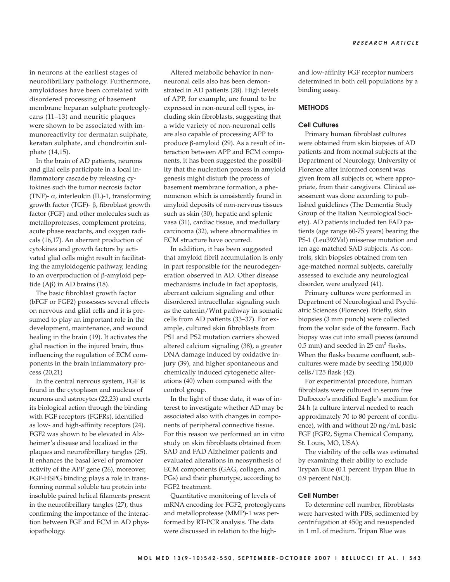in neurons at the earliest stages of neurofibrillary pathology. Furthermore, amyloidoses have been correlated with disordered processing of basement membrane heparan sulphate proteoglycans (11–13) and neuritic plaques were shown to be associated with immunoreactivity for dermatan sulphate, keratan sulphate, and chondroitin sulphate (14,15).

In the brain of AD patients, neurons and glial cells participate in a local inflammatory cascade by releasing cytokines such the tumor necrosis factor (TNF)- α, interleukin (IL)-1, transforming growth factor (TGF)- β, fibroblast growth factor (FGF) and other molecules such as metalloproteases, complement proteins, acute phase reactants, and oxygen radicals (16,17). An aberrant production of cytokines and growth factors by activated glial cells might result in facilitating the amyloidogenic pathway, leading to an overproduction of β-amyloid peptide (Aβ) in AD brains (18).

The basic fibroblast growth factor (bFGF or FGF2) possesses several effects on nervous and glial cells and it is presumed to play an important role in the development, maintenance, and wound healing in the brain (19). It activates the glial reaction in the injured brain, thus influencing the regulation of ECM components in the brain inflammatory process (20,21)

In the central nervous system, FGF is found in the cytoplasm and nucleus of neurons and astrocytes (22,23) and exerts its biological action through the binding with FGF receptors (FGFRs), identified as low- and high-affinity receptors (24). FGF2 was shown to be elevated in Alzheimer's disease and localized in the plaques and neurofibrillary tangles (25). It enhances the basal level of promoter activity of the APP gene (26), moreover, FGF-HSPG binding plays a role in transforming normal soluble tau protein into insoluble paired helical filaments present in the neurofibrillary tangles (27), thus confirming the importance of the interaction between FGF and ECM in AD physiopathology.

Altered metabolic behavior in nonneuronal cells also has been demonstrated in AD patients (28). High levels of APP, for example, are found to be expressed in non-neural cell types, including skin fibroblasts, suggesting that a wide variety of non-neuronal cells are also capable of processing APP to produce β-amyloid (29). As a result of interaction between APP and ECM components, it has been suggested the possibility that the nucleation process in amyloid genesis might disturb the process of basement membrane formation, a phenomenon which is consistently found in amyloid deposits of non-nervous tissues such as skin (30), hepatic and splenic vasa (31), cardiac tissue, and medullary carcinoma (32), where abnormalities in ECM structure have occurred.

In addition, it has been suggested that amyloid fibril accumulation is only in part responsible for the neurodegeneration observed in AD. Other disease mechanisms include in fact apoptosis, aberrant calcium signaling and other disordered intracellular signaling such as the catenin/Wnt pathway in somatic cells from AD patients (33–37). For example, cultured skin fibroblasts from PS1 and PS2 mutation carriers showed altered calcium signaling (38), a greater DNA damage induced by oxidative injury (39), and higher spontaneous and chemically induced cytogenetic alterations (40) when compared with the control group.

In the light of these data, it was of interest to investigate whether AD may be associated also with changes in components of peripheral connective tissue. For this reason we performed an in vitro study on skin fibroblasts obtained from SAD and FAD Alzheimer patients and evaluated alterations in neosynthesis of ECM components (GAG, collagen, and PGs) and their phenotype, according to FGF2 treatment.

Quantitative monitoring of levels of mRNA encoding for FGF2, proteoglycans and metalloprotease (MMP)-1 was performed by RT-PCR analysis. The data were discussed in relation to the highand low-affinity FGF receptor numbers determined in both cell populations by a binding assay.

#### **METHODS**

## Cell Cultures

Primary human fibroblast cultures were obtained from skin biopsies of AD patients and from normal subjects at the Department of Neurology, University of Florence after informed consent was given from all subjects or, where appropriate, from their caregivers. Clinical assessment was done according to published guidelines (The Dementia Study Group of the Italian Neurological Society). AD patients included ten FAD patients (age range 60-75 years) bearing the PS-1 (Leu392Val) missense mutation and ten age-matched SAD subjects. As controls, skin biopsies obtained from ten age-matched normal subjects, carefully assessed to exclude any neurological disorder, were analyzed (41).

Primary cultures were performed in Department of Neurological and Psychiatric Sciences (Florence). Briefly, skin biopsies (3 mm punch) were collected from the volar side of the forearm. Each biopsy was cut into small pieces (around  $0.5$  mm) and seeded in  $25$  cm<sup>2</sup> flasks. When the flasks became confluent, subcultures were made by seeding 150,000 cells/T25 flask (42).

For experimental procedure, human fibroblasts were cultured in serum free Dulbecco's modified Eagle's medium for 24 h (a culture interval needed to reach approximately 70 to 80 percent of confluence), with and without 20 ng/mL basic FGF (FGF2, Sigma Chemical Company, St. Louis, MO, USA).

The viability of the cells was estimated by examining their ability to exclude Trypan Blue (0.1 percent Trypan Blue in 0.9 percent NaCl).

#### Cell Number

To determine cell number, fibroblasts were harvested with PBS, sedimented by centrifugation at 450g and resuspended in 1 mL of medium. Tripan Blue was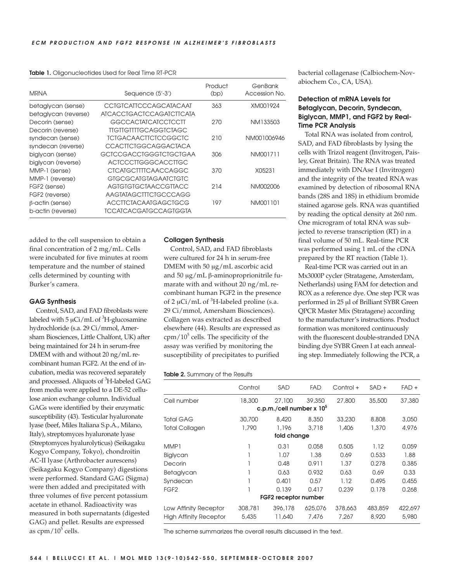|  | <b>Table 1.</b> Oligonucleotides Used for Real Time RT-PCR |  |  |  |  |
|--|------------------------------------------------------------|--|--|--|--|
|--|------------------------------------------------------------|--|--|--|--|

| <b>MRNA</b>            | Sequence (5'-3')              | Product<br>(bp) | GenBank<br>Accession No. |
|------------------------|-------------------------------|-----------------|--------------------------|
| betaglycan (sense)     | CCIGICAIICCCAGCAIACAAI        | 363             | XM001924                 |
| betaglycan (reverse)   | ATCACCTGACTCCAGATCTTCATA      |                 |                          |
| Decorin (sense)        | GGCCACTATCATCCTCCTT           | 270             | NM133503                 |
| Decorin (reverse)      | TIGTIGTITIGCAGGICIAGC         |                 |                          |
| syndecan (sense)       | <b>TCTGACAACTTCTCCGGCTC</b>   | 210             | NM001006946              |
| syndecan (reverse)     | <b>CCACTICIGGCAGGACIACA</b>   |                 |                          |
| biglycan (sense)       | <b>GCTCCGACCTGGGTCTGCTGAA</b> | 306             | NM001711                 |
| biglycan (reverse)     | <b>ACTCCCTTGGGCACCTTGC</b>    |                 |                          |
| MMP-1 (sense)          | <b>CICAIGCITITCAACCAGGC</b>   | 370             | X05231                   |
| MMP-1 (reverse)        | <b>GIGCGCAIGIAGAAICIGIC</b>   |                 |                          |
| FGF2 (sense)           | AGIGIGIGCIAACCGIIACC          | 214             | NM002006                 |
| FGF2 (reverse)         | AAGTATAGCTTTCTGCCCAGG         |                 |                          |
| $\beta$ -actin (sense) | <b>ACCITCTACAATGAGCTGCG</b>   | 197             | NM001101                 |
| b-actin (reverse)      | TCCATCACGATGCCAGTGGTA         |                 |                          |

added to the cell suspension to obtain a final concentration of 2 mg/mL. Cells were incubated for five minutes at room temperature and the number of stained cells determined by counting with Burker's camera.

#### GAG Synthesis

Control, SAD, and FAD fibroblasts were labeled with  $5 \mu$ Ci/mL of  ${}^{3}$ H-glucosamine hydrochloride (s.a. 29 Ci/mmol, Amersham Biosciences, Little Chalfont, UK) after being maintained for 24 h in serum-free DMEM with and without 20 ng/mL recombinant human FGF2. At the end of incubation, media was recovered separately and processed. Aliquots of <sup>3</sup>H-labeled GAG from media were applied to a DE-52 cellulose anion exchange column. Individual GAGs were identified by their enzymatic susceptibility (43). Testicular hyaluronate lyase (beef, Miles Italiana S.p.A., Milano, Italy), streptomyces hyaluronate lyase (Streptomyces hyalurolyticus) (Seikagaku Kogyo Company, Tokyo), chondroitin AC-II lyase (Arthrobacter aurescens) (Seikagaku Kogyo Company) digestions were performed. Standard GAG (Sigma) were then added and precipitated with three volumes of five percent potassium acetate in ethanol. Radioactivity was measured in both supernatants (digested GAG) and pellet. Results are expressed as  $cpm/10<sup>5</sup>$  cells.

#### Collagen Synthesis

Control, SAD, and FAD fibroblasts were cultured for 24 h in serum-free DMEM with 50 µg/mL ascorbic acid and 50 µg/mL β-aminoproprionitrile fumarate with and without 20 ng/mL recombinant human FGF2 in the presence of 2  $\mu$ Ci/mL of <sup>3</sup>H-labeled proline (s.a. 29 Ci/mmol, Amersham Biosciences). Collagen was extracted as described elsewhere (44). Results are expressed as  $cpm/10<sup>5</sup>$  cells. The specificity of the assay was verified by monitoring the susceptibility of precipitates to purified

#### Table 2. Summary of the Results

|                               | Control | SAD                                    | <b>FAD</b> | Control + | $SAD +$ | $FAD +$ |
|-------------------------------|---------|----------------------------------------|------------|-----------|---------|---------|
| Cell number                   | 18,300  | 27,100                                 | 39,350     | 27,800    | 35,500  | 37,380  |
|                               |         | c.p.m./cell number $x$ 10 <sup>5</sup> |            |           |         |         |
| <b>Total GAG</b>              | 30,700  | 8,420                                  | 8,350      | 33,230    | 8,808   | 3,050   |
| <b>Total Collagen</b>         | 1,790   | 1,196                                  | 3,718      | 1,406     | 1,370   | 4,976   |
| fold change                   |         |                                        |            |           |         |         |
| MMP1                          | 1       | 0.31                                   | 0.058      | 0.505     | 1.12    | 0.059   |
| Biglycan                      |         | 1.07                                   | 1.38       | 0.69      | 0.533   | 1.88    |
| Decorin                       |         | 0.48                                   | 0.911      | 1.37      | 0.278   | 0.385   |
| Betaglycan                    |         | 0.63                                   | 0.932      | 0.63      | 0.69    | 0.33    |
| Syndecan                      |         | 0.401                                  | 0.57       | 1.12      | 0.495   | 0.455   |
| FGF <sub>2</sub>              | 1       | 0.139                                  | 0.417      | 0.239     | 0.178   | 0.268   |
|                               |         | FGF2 receptor number                   |            |           |         |         |
| Low Affinity Receptor         | 308,781 | 396,178                                | 625,076    | 378,663   | 483,859 | 422,697 |
| <b>High Affinity Receptor</b> | 5,435   | 11,640                                 | 7.476      | 7.267     | 8,920   | 5,980   |

The scheme summarizes the overall results discussed in the text.

bacterial collagenase (Calbiochem-Novabiochem Co., CA, USA).

## Detection of mRNA Levels for Betaglycan, Decorin, Syndecan, Biglycan, MMP1, and FGF2 by Real-Time PCR Analysis

Total RNA was isolated from control, SAD, and FAD fibroblasts by lysing the cells with Trizol reagent (Invitrogen, Paisley, Great Britain). The RNA was treated immediately with DNAse I (Invitrogen) and the integrity of the treated RNA was examined by detection of ribosomal RNA bands (28S and 18S) in ethidium bromide stained agarose gels. RNA was quantified by reading the optical density at 260 nm. One microgram of total RNA was subjected to reverse transcription (RT) in a final volume of 50 mL. Real-time PCR was performed using 1 mL of the cDNA prepared by the RT reaction (Table 1).

Real-time PCR was carried out in an Mx3000P cycler (Stratagene, Amsterdam, Netherlands) using FAM for detection and ROX as a reference dye. One step PCR was performed in 25 µl of Brilliant SYBR Green QPCR Master Mix (Stratagene) according to the manufacturer's instructions. Product formation was monitored continuously with the fluorescent double-stranded DNA binding dye SYBR Green I at each annealing step. Immediately following the PCR, a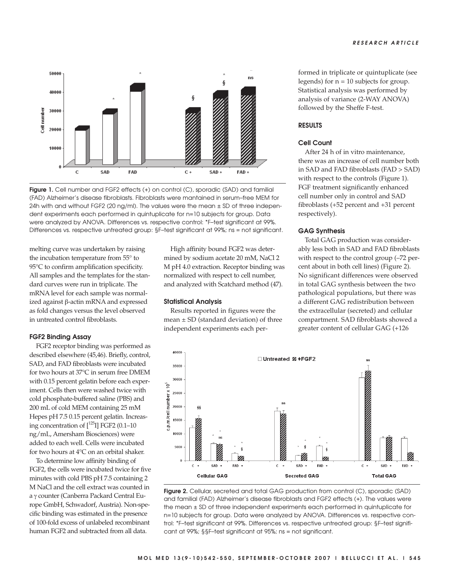

Figure 1. Cell number and FGF2 effects (+) on control (C), sporadic (SAD) and familial (FAD) Alzheimer's disease fibroblasts. Fibroblasts were mantained in serum–free MEM for 24h with and without FGF2 (20 ng/ml). The values were the mean ± SD of three independent experiments each performed in quintuplicate for n=10 subjects for group. Data were analyzed by ANOVA. Differences vs. respective control: \*F–test significant at 99%. Differences vs. respective untreated group: §F–test significant at 99%; ns = not significant.

melting curve was undertaken by raising the incubation temperature from 55° to 95°C to confirm amplification specificity. All samples and the templates for the standard curves were run in triplicate. The mRNA level for each sample was normalized against β-actin mRNA and expressed as fold changes versus the level observed in untreated control fibroblasts.

#### FGF2 Binding Assay

FGF2 receptor binding was performed as described elsewhere (45,46). Briefly, control, SAD, and FAD fibroblasts were incubated for two hours at 37°C in serum free DMEM with 0.15 percent gelatin before each experiment. Cells then were washed twice with cold phosphate-buffered saline (PBS) and 200 mL of cold MEM containing 25 mM Hepes pH 7.5 0.15 percent gelatin. Increasing concentration of  $[^{125}I]$  FGF2 (0.1–10) ng/mL, Amersham Biosciences) were added to each well. Cells were incubated for two hours at 4°C on an orbital shaker.

To determine low affinity binding of FGF2, the cells were incubated twice for five minutes with cold PBS pH 7.5 containing 2 M NaCl and the cell extract was counted in a γ counter (Canberra Packard Central Europe GmbH, Schwadorf, Austria). Non-specific binding was estimated in the presence of 100-fold excess of unlabeled recombinant human FGF2 and subtracted from all data.

High affinity bound FGF2 was determined by sodium acetate 20 mM, NaCl 2 M pH 4.0 extraction. Receptor binding was normalized with respect to cell number, and analyzed with Scatchard method (47).

#### Statistical Analysis

Results reported in figures were the mean  $\pm$  SD (standard deviation) of three independent experiments each performed in triplicate or quintuplicate (see legends) for  $n = 10$  subjects for group. Statistical analysis was performed by analysis of variance (2-WAY ANOVA) followed by the Sheffe F-test.

## RESULTS

### Cell Count

After 24 h of in vitro maintenance, there was an increase of cell number both in SAD and FAD fibroblasts (FAD > SAD) with respect to the controls (Figure 1). FGF treatment significantly enhanced cell number only in control and SAD fibroblasts (+52 percent and +31 percent respectively).

### GAG Synthesis

Total GAG production was considerably less both in SAD and FAD fibroblasts with respect to the control group (–72 percent about in both cell lines) (Figure 2). No significant differences were observed in total GAG synthesis between the two pathological populations, but there was a different GAG redistribution between the extracellular (secreted) and cellular compartment. SAD fibroblasts showed a greater content of cellular GAG (+126



Figure 2. Cellular, secreted and total GAG production from control (C), sporadic (SAD) and familial (FAD) Alzheimer's disease fibroblasts and FGF2 effects (+). The values were the mean ± SD of three independent experiments each performed in quintuplicate for n=10 subjects for group. Data were analyzed by ANOVA. Differences vs. respective control: \*F–test significant at 99%. Differences vs. respective untreated group: §F–test significant at 99%; §§F–test significant at 95%; ns = not significant.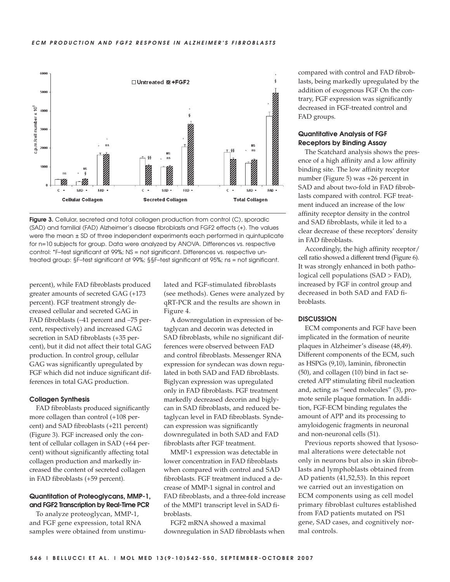

Figure 3. Cellular, secreted and total collagen production from control (C), sporadic (SAD) and familial (FAD) Alzheimer's disease fibroblasts and FGF2 effects (+). The values were the mean ± SD of three independent experiments each performed in quintuplicate for n=10 subjects for group. Data were analyzed by ANOVA. Differences vs. respective control: \*F–test significant at 99%; NS = not significant. Differences vs. respective untreated group: §F–test significant at 99%; §§F–test significant at 95%; ns = not significant.

percent), while FAD fibroblasts produced greater amounts of secreted GAG (+173 percent). FGF treatment strongly decreased cellular and secreted GAG in FAD fibroblasts (–41 percent and –75 percent, respectively) and increased GAG secretion in SAD fibroblasts (+35 percent), but it did not affect their total GAG production. In control group, cellular GAG was significantly upregulated by FGF which did not induce significant differences in total GAG production.

#### Collagen Synthesis

FAD fibroblasts produced significantly more collagen than control (+108 percent) and SAD fibroblasts (+211 percent) (Figure 3). FGF increased only the content of cellular collagen in SAD (+64 percent) without significantly affecting total collagen production and markedly increased the content of secreted collagen in FAD fibroblasts (+59 percent).

## Quantitation of Proteoglycans, MMP-1, and FGF2 Transcription by Real-Time PCR

To analyze proteoglycan, MMP-1, and FGF gene expression, total RNA samples were obtained from unstimulated and FGF-stimulated fibroblasts (see methods). Genes were analyzed by qRT-PCR and the results are shown in Figure 4.

A downregulation in expression of betaglycan and decorin was detected in SAD fibroblasts, while no significant differences were observed between FAD and control fibroblasts. Messenger RNA expression for syndecan was down regulated in both SAD and FAD fibroblasts. Biglycan expression was upregulated only in FAD fibroblasts. FGF treatment markedly decreased decorin and biglycan in SAD fibroblasts, and reduced betaglycan level in FAD fibroblasts. Syndecan expression was significantly downregulated in both SAD and FAD fibroblasts after FGF treatment.

MMP-1 expression was detectable in lower concentration in FAD fibroblasts when compared with control and SAD fibroblasts. FGF treatment induced a decrease of MMP-1 signal in control and FAD fibroblasts, and a three-fold increase of the MMP1 transcript level in SAD fibroblasts.

FGF2 mRNA showed a maximal downregulation in SAD fibroblasts when compared with control and FAD fibroblasts, being markedly upregulated by the addition of exogenous FGF On the contrary, FGF expression was significantly decreased in FGF-treated control and FAD groups.

## Quantitative Analysis of FGF Receptors by Binding Assay

The Scatchard analysis shows the presence of a high affinity and a low affinity binding site. The low affinity receptor number (Figure 5) was +26 percent in SAD and about two-fold in FAD fibroblasts compared with control. FGF treatment induced an increase of the low affinity receptor density in the control and SAD fibroblasts, while it led to a clear decrease of these receptors' density in FAD fibroblasts.

Accordingly, the high affinity receptor/ cell ratio showed a different trend (Figure 6). It was strongly enhanced in both pathological cell populations (SAD > FAD), increased by FGF in control group and decreased in both SAD and FAD fibroblasts.

## **DISCUSSION**

ECM components and FGF have been implicated in the formation of neurite plaques in Alzheimer's disease (48,49). Different components of the ECM, such as HSPGs (9,10), laminin, fibronectin (50), and collagen (10) bind in fact secreted APP stimulating fibril nucleation and, acting as "seed molecules" (3), promote senile plaque formation. In addition, FGF-ECM binding regulates the amount of APP and its processing to amyloidogenic fragments in neuronal and non-neuronal cells (51).

Previous reports showed that lysosomal alterations were detectable not only in neurons but also in skin fibroblasts and lymphoblasts obtained from AD patients (41,52,53). In this report we carried out an investigation on ECM components using as cell model primary fibroblast cultures established from FAD patients mutated on PS1 gene, SAD cases, and cognitively normal controls.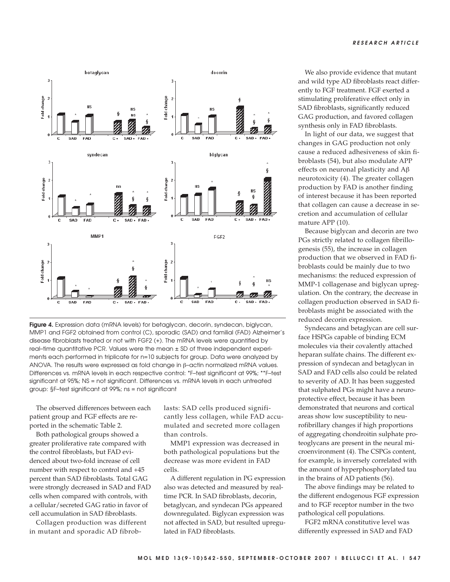

Figure 4. Expression data (mRNA levels) for betaglycan, decorin, syndecan, biglycan, MMP1 and FGF2 obtained from control (C), sporadic (SAD) and familial (FAD) Alzheimer's disease fibroblasts treated or not with FGF2 (+). The mRNA levels were quantified by real–time quantitative PCR. Values were the mean ± SD of three independent experiments each performed in triplicate for n=10 subjects for group. Data were analyzed by ANOVA. The results were expressed as fold change in β–actin normalized mRNA values. Differences vs. mRNA levels in each respective control: \*F–test significant at 99%; \*\*F–test significant at 95%; NS = not significant. Differences vs. mRNA levels in each untreated group: §F–test significant at 99%; ns = not significant

The observed differences between each patient group and FGF effects are reported in the schematic Table 2.

Both pathological groups showed a greater proliferative rate compared with the control fibroblasts, but FAD evidenced about two-fold increase of cell number with respect to control and +45 percent than SAD fibroblasts. Total GAG were strongly decreased in SAD and FAD cells when compared with controls, with a cellular/secreted GAG ratio in favor of cell accumulation in SAD fibroblasts.

Collagen production was different in mutant and sporadic AD fibroblasts: SAD cells produced significantly less collagen, while FAD accumulated and secreted more collagen than controls.

MMP1 expression was decreased in both pathological populations but the decrease was more evident in FAD cells.

A different regulation in PG expression also was detected and measured by realtime PCR. In SAD fibroblasts, decorin, betaglycan, and syndecan PGs appeared downregulated. Biglycan expression was not affected in SAD, but resulted upregulated in FAD fibroblasts.

We also provide evidence that mutant and wild type AD fibroblasts react differently to FGF treatment. FGF exerted a stimulating proliferative effect only in SAD fibroblasts, significantly reduced GAG production, and favored collagen synthesis only in FAD fibroblasts.

In light of our data, we suggest that changes in GAG production not only cause a reduced adhesiveness of skin fibroblasts (54), but also modulate APP effects on neuronal plasticity and Aβ neurotoxicity (4). The greater collagen production by FAD is another finding of interest because it has been reported that collagen can cause a decrease in secretion and accumulation of cellular mature APP (10).

Because biglycan and decorin are two PGs strictly related to collagen fibrillogenesis (55), the increase in collagen production that we observed in FAD fibroblasts could be mainly due to two mechanisms: the reduced expression of MMP-1 collagenase and biglycan upregulation. On the contrary, the decrease in collagen production observed in SAD fibroblasts might be associated with the reduced decorin expression.

Syndecans and betaglycan are cell surface HSPGs capable of binding ECM molecules via their covalently attached heparan sulfate chains. The different expression of syndecan and betaglycan in SAD and FAD cells also could be related to severity of AD. It has been suggested that sulphated PGs might have a neuroprotective effect, because it has been demonstrated that neurons and cortical areas show low susceptibility to neurofibrillary changes if high proportions of aggregating chondroitin sulphate proteoglycans are present in the neural microenvironment (4). The CSPGs content, for example, is inversely correlated with the amount of hyperphosphorylated tau in the brains of AD patients (56).

The above findings may be related to the different endogenous FGF expression and to FGF receptor number in the two pathological cell populations.

FGF2 mRNA constitutive level was differently expressed in SAD and FAD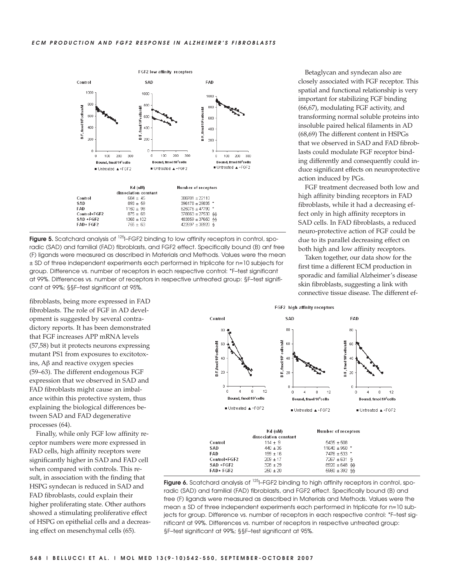

**Figure 5.** Scatchard analysis of  $^{125}$ -FGF2 binding to low affinity receptors in control, sporadic (SAD) and familial (FAD) fibroblasts, and FGF2 effect. Specifically bound (B) anf free (F) ligands were measured as described in Materials and Methods. Values were the mean ± SD of three independent experiments each performed in triplicate for n=10 subjects for group. Difference vs. number of receptors in each respective control: \*F–test significant at 99%. Differences vs. number of receptors in respective untreated group: §F–test significant at 99%; §§F–test significant at 95%.

fibroblasts, being more expressed in FAD fibroblasts. The role of FGF in AD development is suggested by several contradictory reports. It has been demonstrated that FGF increases APP mRNA levels (57,58) but it protects neurons expressing mutant PS1 from exposures to excitotoxins, Aβ and reactive oxygen species (59–63). The different endogenous FGF expression that we observed in SAD and FAD fibroblasts might cause an imbalance within this protective system, thus explaining the biological differences between SAD and FAD degenerative processes (64).

Finally, while only FGF low affinity receptor numbers were more expressed in FAD cells, high affinity receptors were significantly higher in SAD and FAD cell when compared with controls. This result, in association with the finding that HSPG syndecan is reduced in SAD and FAD fibroblasts, could explain their higher proliferating state. Other authors showed a stimulating proliferative effect of HSPG on epithelial cells and a decreasing effect on mesenchymal cells (65).

Betaglycan and syndecan also are closely associated with FGF receptor. This spatial and functional relationship is very important for stabilizing FGF binding (66,67), modulating FGF activity, and transforming normal soluble proteins into insoluble paired helical filaments in AD (68,69) The different content in HSPGs that we observed in SAD and FAD fibroblasts could modulate FGF receptor binding differently and consequently could induce significant effects on neuroprotective action induced by PGs.

FGF treatment decreased both low and high affinity binding receptors in FAD fibroblasts, while it had a decreasing effect only in high affinity receptors in SAD cells. In FAD fibroblasts, a reduced neuro-protective action of FGF could be due to its parallel decreasing effect on both high and low affinity receptors.

Taken together, our data show for the first time a different ECM production in sporadic and familial Alzheimer's disease skin fibroblasts, suggesting a link with connective tissue disease. The different ef-



|              | Kd (nM)<br>dissociation constant | Number of receptors |
|--------------|----------------------------------|---------------------|
| Control      | $114 \pm 9$                      | $5435 + 508$        |
| SAD          | $440 + 35$                       | $11640 + 950$ *     |
| FAD          | $199 + 16$                       | $7476 \pm 533$ *    |
| Control+EGE2 | $209 \pm 17$                     | $7267 + 631$ \$     |
| SAD +FGF2    | $328 + 29$                       | $8920 \pm 648$ 66   |
| FAD+ FGF2    | $250 \pm 20$                     | $5980 \pm 392$ 66   |

Figure 6. Scatchard analysis of <sup>125</sup>I–FGF2 binding to high affinity receptors in control, sporadic (SAD) and familial (FAD) fibroblasts, and FGF2 effect. Specifically bound (B) and free (F) ligands were measured as described in Materials and Methods. Values were the mean ± SD of three independent experiments each performed in triplicate for n=10 subjects for group. Difference vs. number of receptors in each respective control: \*F–test significant at 99%. Differences vs. number of receptors in respective untreated group: §F–test significant at 99%; §§F–test significant at 95%.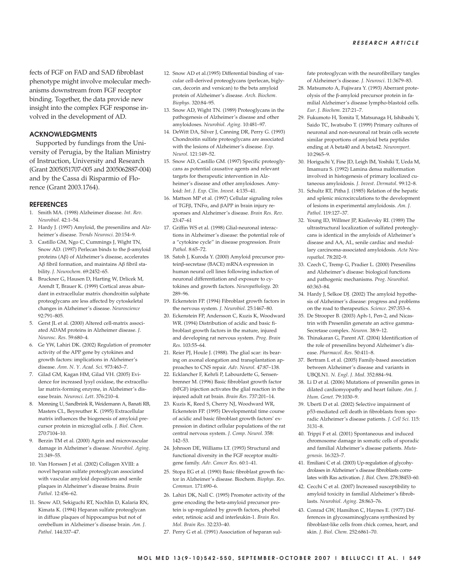fects of FGF on FAD and SAD fibroblast phenotype might involve molecular mechanisms downstream from FGF receptor binding. Together, the data provide new insight into the complex FGF response involved in the development of AD.

## ACKNOWLEDGMENTS

Supported by fundings from the University of Perugia, by the Italian Ministry of Instruction, University and Research (Grant 2005051707-005 and 2005062887-004) and by the Cassa di Risparmio of Florence (Grant 2003.1764).

#### **REFERENCES**

- 1. Smith MA. (1998) Alzheimer disease. *Int*. *Rev*. *Neurobiol*. 42:1–54.
- 2. Hardy J. (1997) Amyloid, the presenilins and Alzheimer's disease. *Trends Neurosci*. 20:154–9.
- 3. Castillo GM, Ngo C, Cummings J, Wight TN, Snow AD. (1997) Perlecan binds to the β-amyloid proteins (Aβ) of Alzheimer's disease, accelerates Aβ fibril formation, and maintains Aβ fibril stability. *J*. *Neurochem*. 69:2452–65.
- 4. Bruckner G, Hausen D, Harting W, Drlicek M, Arendt T, Brauer K. (1999) Cortical areas abundant in extracellular matrix chondroitin sulphate proteoglycans are less affected by cytoskeletal changes in Alzheimer's disease. *Neuroscience* 92:791–805.
- 5. Gerst JL et al. (2000) Altered cell-matrix associated ADAM proteins in Alzheimer disease. *J*. *Neurosc*. *Res*. 59:680–4.
- 6. Ge YW, Lahiri DK. (2002) Regulation of promoter activity of the APP gene by cytokines and growth factors: implications in Alzheimer's disease. *Ann*. *N*. *Y*. *Acad*. *Sci*. 973:463–7.
- 7. Gilad GM, Kagan HM, Gilad VH. (2005) Evidence for increased lysyl oxidase, the extracellular matrix-forming enzyme, in Alzheimer's disease brain. *Neurosci*. *Lett*. 376:210–4.
- 8. Monning U, Sandbrink R, Weidemann A, Banati RB, Masters CL, Beyreuther K. (1995) Extracellular matrix influences the biogenesis of amyloid precursor protein in microglial cells. *J*. *Biol*. *Chem*. 270:7104–10.
- 9. Berzin TM et al. (2000) Agrin and microvascular damage in Alzheimer's disease. *Neurobiol*. *Aging*. 21:349–55.
- 10. Van Horssen J et al. (2002) Collagen XVIII: a novel heparan sulfate proteoglycan associated with vascular amyloid depositions and senile plaques in Alzheimer's disease brains. *Brain Pathol*. 12:456–62.
- 11. Snow AD, Sekiguchi RT, Nochlin D, Kalaria RN, Kimata K. (1994) Heparan sulfate proteoglycan in diffuse plaques of hippocampus but not of cerebellum in Alzheimer's disease brain. *Am*. *J*. *Pathol*. 144:337–47.
- 12. Snow AD et al.(1995) Differential binding of vascular cell-derived proteoglycans (perlecan, biglycan, decorin and versican) to the beta amyloid protein of Alzheimer's disease. *Arch*. *Biochem*. *Biophys*. 320:84–95.
- 13. Snow AD, Wight TN. (1989) Proteoglycans in the pathogenesis of Alzheimer's disease and other amyloidoses. *Neurobiol*. *Aging*. 10:481–97.
- 14. DeWitt DA, Silver J, Canning DR, Perry G. (1993) Chondroitin sulfate proteoglycans are associated with the lesions of Alzheimer's disease. *Exp*. *Neurol*. 121:149–52.
- 15. Snow AD, Castillo GM. (1997) Specific proteoglycans as potential causative agents and relevant targets for therapeutic intervention in Alzheimer's disease and other amyloidoses. Amyloid: *Int*. *J*. *Exp*. *Clin*. *Invest*. 4:135–41.
- 16. Mattson MP et al. (1997) Cellular signaling roles of TGFβ, TNFα, and βAPP in brain injury responses and Alzheimer's disease. *Brain Res*. *Rev*. 23:47–61
- 17. Griffin WS et al. (1998) Glial-neuronal interactions in Alzheimer's disease: the potential role of a "cytokine cycle" in disease progression. *Brain Pathol*. 8:65–72.
- 18. Satoh J, Kuroda Y. (2000) Amyloid precursor proteinβ-secretase (BACE) mRNA expression in human neural cell lines following induction of neuronal differentiation and exposure to cytokines and growth factors. *Neuropathology*. 20: 289–96.
- 19. Eckenstein FP. (1994) Fibroblast growth factors in the nervous system. *J*. *Neurobiol*. 25:1467–80.
- 20. Eckenstein FP, Andersson C, Kuzis K, Woodward WR. (1994) Distribution of acidic and basic fibroblast growth factors in the mature, injured and developing rat nervous system. *Prog*. *Brain Res*. 103:55–64.
- 21. Reier PJ, Houle J. (1988). The glial scar: its bearing on axonal elongation and transplantation approaches to CNS repair. *Adv*. *Neurol*. 47:87–138.
- 22. Ecklancher F, Kehrli P, Labourdette G, Sensenbrenner M. (1996) Basic fibroblast growth factor (bFGF) injection activates the glial reaction in the injured adult rat brain. *Brain Res*. 737:201–14.
- 23. Kuzis K, Reed S, Cherry NJ, Woodward WR, Eckenstein FP. (1995) Developmental time course of acidic and basic fibroblast growth factors' expression in distinct cellular populations of the rat central nervous system. *J*. *Comp*. *Neurol*. 358: 142–53.
- 24. Johnson DE, Williams LT. (1993) Structural and functional diversity in the FGF receptor multigene family. *Adv*. *Cancer Res*. 60:1–41.
- 25. Stopa EG et al. (1990) Basic fibroblast growth factor in Alzheimer's disease. Biochem. *Biophys*. *Res*. *Commun*. 171:690–6.
- 26. Lahiri DK, Nall C. (1995) Promoter activity of the gene encoding the beta-amyloid precursor protein is up-regulated by growth factors, phorbol ester, retinoic acid and interleukin-1. *Brain Res*. *Mol*. *Brain Res*. 32:233–40.
- 27. Perry G et al. (1991) Association of heparan sul-

fate proteoglycan with the neurofibrillary tangles of Alzheimer's disease. *J*. *Neurosci*. 11:3679–83.

- 28. Matsumoto A, Fujiwara Y. (1993) Aberrant proteolysis of the β-amyloid precursor protein in familial Alzheimer's disease lympho-blastoid cells. *Eur*. *J*. *Biochem*. 217:21–7.
- 29. Fukumoto H, Tomita T, Matsunaga H, Ishibashi Y, Saido TC, Iwatsubo T. (1999) Primary cultures of neuronal and non-neuronal rat brain cells secrete similar proportions of amyloid beta peptides ending at A beta40 and A beta42. *Neuroreport*. 10:2965–9.
- 30. Horiguchi Y, Fine JD, Leigh IM, Yoshiki T, Ueda M, Imamura S. (1992) Lamina densa malformation involved in histogenesis of primary localized cutaneous amyloidosis. *J*. *Invest*. *Dermatol*. 99:12–8.
- 31. Schultz RT, Pitha J. (1985) Relation of the hepatic and splenic microcirculations to the development of lesions in experimental amyloidosis. *Am*. *J*. *Pathol*. 119:127–37.
- 32. Young ID, Willmer JP, Kisilevsky RI. (1989) The ultrastructural localization of sulfated proteoglycans is identical in the amyloids of Alzheimer's disease and AA, AL, senile cardiac and medullary carcinoma-associated amyloidosis. *Acta Neuropathol*. 78:202–9.
- 33. Czech C, Tremp G, Pradier L. (2000) Presenilins and Alzheimer's disease: biological functions and pathogenic mechanisms. *Prog*. *Neurobiol*. 60:363–84.
- 34. Hardy J, Selkoe DJ. (2002) The amyloid hypothesis of Alzheimer's disease: progress and problems on the road to therapeutics. *Science*. 297:353–6.
- 35. De Strooper B. (2003) Aph-1, Pen-2, and Nicastrin with Presenilin generate an active gamma-Secretase complex. *Neuron*. 38:9–12.
- 36. Thinakaran G, Parent AT. (2004) Identification of the role of presenilins beyond Alzheimer's disease. *Pharmacol*. *Res*. 50:411–8.
- 37. Bertram L et al. (2005) Family-based association between Alzheimer's disease and variants in UBQLN1. *N*. *Engl*. *J*. *Med*. 352:884–94.
- 38. Li D et al. (2006) Mutations of presenilin genes in dilated cardiomyopathy and heart failure. *Am*. *J*. *Hum*. *Genet*. 79:1030–9.
- 39. Uberti D et al. (2002) Selective impairment of p53-mediated cell death in fibroblasts from sporadic Alzheimer's disease patients. *J*. *Cell Sci*. 115: 3131–8.
- 40. Trippi F et al. (2001) Spontaneous and induced chromosome damage in somatic cells of sporadic and familial Alzheimer's disease patients. *Mutagenesis*. 16:323–7.
- 41. Emiliani C et al. (2003) Up-regulation of glycohydrolases in Alzheimer's disease fibroblasts correlates with Ras activation. *J*. *Biol*. *Chem*. 278:38453–60.
- 42. Cecchi C et al. (2007) Increased susceptibility to amyloid toxicity in familial Alzheimer's fibroblasts. *Neurobiol*. *Aging*. 28:863–76.
- 43. Conrad GW, Hamilton C, Haynes E. (1977) Differences in glycosaminoglycans synthesized by fibroblast-like cells from chick cornea, heart, and skin. *J*. *Biol*. *Chem*. 252:6861–70.